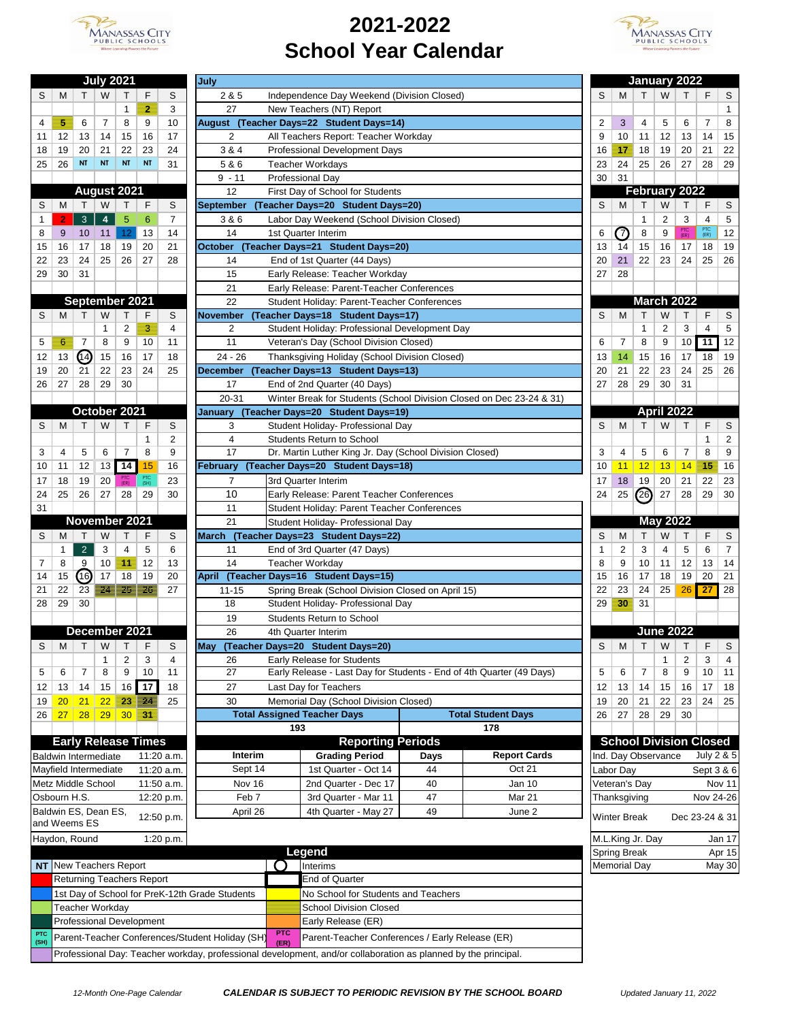

## **2021-2022 School Year Calendar**



| <b>July 2021</b>                                   |                 |                            |          |           |             |                 |  |  |
|----------------------------------------------------|-----------------|----------------------------|----------|-----------|-------------|-----------------|--|--|
| S                                                  | м               | т                          | W        | Т         | F           | S               |  |  |
|                                                    |                 |                            |          | 1         | 2           | 3               |  |  |
| 4                                                  | 5               | 6                          | 7        | 8         | 9           | 10              |  |  |
| 11                                                 | 12              | 13                         | 14       | 15        | 16          | 17              |  |  |
| 18                                                 | 19              | 20                         | 21       | 22        | 23          | 24              |  |  |
| 25                                                 | 26              | NT                         | NT       | NT        | NT          | 31              |  |  |
|                                                    |                 |                            |          |           |             |                 |  |  |
|                                                    |                 | Aug                        | ust      | 2021      |             |                 |  |  |
| S                                                  | м               | Т                          | W        | Т         | F           | S               |  |  |
| 1                                                  | $\overline{2}$  | 3<br>4<br>5<br>6<br>7      |          |           |             |                 |  |  |
| 8                                                  | 9               | 14<br>10<br>11<br>12<br>13 |          |           |             |                 |  |  |
| 15                                                 | 16              | 17                         | 18       | 19        | 20          | 21              |  |  |
| 22                                                 | 23              | 24                         | 25       | 26        | 27          | 28              |  |  |
| 29                                                 | 30              | 31                         |          |           |             |                 |  |  |
|                                                    |                 | September 2021             |          |           |             |                 |  |  |
| S                                                  | М               | Т                          | W        | т         | F           | S               |  |  |
|                                                    |                 |                            | 1        | 2         | з           | 4               |  |  |
| 5                                                  | 6               | 7                          | 8        | 9         | 10          | 11              |  |  |
| 12                                                 | 13              | 14)                        | 15       | 16        | 17          | 18              |  |  |
| 19                                                 | 20              | 21                         | 22       | 23        | 24          | 25              |  |  |
| 26                                                 | 27              | 28                         | 29       | 30        |             |                 |  |  |
|                                                    |                 |                            |          |           |             |                 |  |  |
|                                                    |                 | October                    |          | 2021      |             |                 |  |  |
| S                                                  | М               | т                          | W        | т         | F           | S               |  |  |
|                                                    |                 |                            |          |           | 1           | 2               |  |  |
| 3                                                  | 4               | 5                          | 6        | 7         | 8           | 9               |  |  |
| 10                                                 | 11              | 12                         | 13       | 14        | 15          | 16              |  |  |
| 17                                                 | 18              | 19                         | 20       | (ER)      | PTC<br>(SH) | 23              |  |  |
| 24                                                 | 25              | 26                         | 27       | 28        | 29          | 30              |  |  |
| 31                                                 |                 |                            |          |           |             |                 |  |  |
|                                                    |                 | November 2021              |          |           |             |                 |  |  |
| S                                                  | м<br>1          | т                          | W        | т         | F           | S               |  |  |
|                                                    | 8               | $\overline{2}$<br>9        | 3        | 4<br>11   | 5<br>12     | 6<br>13         |  |  |
| 7<br>14                                            | 15              | (16)                       | 10<br>17 | 18        | 19          | 20              |  |  |
| 21                                                 | 22              | 23                         | 犎        | 写         | 26          | 27              |  |  |
| 28                                                 | 29              | 30                         |          |           |             |                 |  |  |
|                                                    |                 |                            |          |           |             |                 |  |  |
|                                                    |                 | December 2021              |          |           |             |                 |  |  |
| S                                                  | М               | т                          | W        | т         | F           | S               |  |  |
|                                                    |                 |                            | 1        | 2         | 3           | 4               |  |  |
| 5                                                  | 6               | 7                          | 8        | 9         | 10          | $\overline{11}$ |  |  |
| 12                                                 | 13              | 14                         | 15       | 16        | 17          | 18              |  |  |
| 19                                                 | 20 <sub>2</sub> | 21                         | 22       | <u>23</u> | 24          | 25              |  |  |
| 26                                                 | $\overline{27}$ | 28                         | 29       | 30        | 31          |                 |  |  |
|                                                    |                 |                            |          |           |             |                 |  |  |
| <b>Early Release Times</b>                         |                 |                            |          |           |             |                 |  |  |
| Baldwin Intermediate<br>11:20 a.m.                 |                 |                            |          |           |             |                 |  |  |
| Mayfield Intermediate<br>11:20 a.m.                |                 |                            |          |           |             |                 |  |  |
| Metz Middle School<br>11:50 a.m.<br>Osbourn H.S.   |                 |                            |          |           |             |                 |  |  |
|                                                    |                 |                            |          |           |             | 12:20 p.m.      |  |  |
| Baldwin ES, Dean ES,<br>12:50 p.m.<br>and Weems ES |                 |                            |          |           |             |                 |  |  |
|                                                    |                 |                            |          |           |             |                 |  |  |
| Haydon, Round<br>1:20 p.m.                         |                 |                            |          |           |             |                 |  |  |

**PTC** 

|              |    |                             | July 2021      |                    |                                                                                                                           |                | July             |                                                                      |      |                           |    |                               |              |                   | January 2022      |                  |                         |
|--------------|----|-----------------------------|----------------|--------------------|---------------------------------------------------------------------------------------------------------------------------|----------------|------------------|----------------------------------------------------------------------|------|---------------------------|----|-------------------------------|--------------|-------------------|-------------------|------------------|-------------------------|
| S            | М  | Τ                           | W              | т                  | F                                                                                                                         | S              | 2 & 5            | Independence Day Weekend (Division Closed)                           |      |                           | S  | М                             | T.           | W                 | т                 | F                | S                       |
|              |    |                             |                | 1                  | 2                                                                                                                         | 3              | 27               | New Teachers (NT) Report                                             |      |                           |    |                               |              |                   |                   |                  | 1                       |
| 4            | 5  | 6                           | $\overline{7}$ | 8                  | 9                                                                                                                         | 10             |                  | August (Teacher Days=22 Student Days=14)                             |      |                           | 2  | 3                             | 4            | 5                 | 6                 | 7                | 8                       |
| 11           | 12 | 13                          | 14             | 15                 | 16                                                                                                                        | 17             | 2                | All Teachers Report: Teacher Workday                                 |      |                           | 9  | 10                            | 11           | 12                | 13                | 14               | 15                      |
| 18           | 19 | 20                          | 21             | 22                 | 23                                                                                                                        | 24             | 3 & 4            | Professional Development Days                                        |      |                           | 16 | $\overline{17}$               | 18           | 19                | 20                | 21               | 22                      |
| 25           | 26 | NT                          | <b>NT</b>      | <b>NT</b>          | <b>NT</b>                                                                                                                 | 31             | 5&6              | <b>Teacher Workdays</b>                                              |      |                           | 23 | 24                            | 25           | 26                | 27                | 28               | 29                      |
|              |    |                             |                |                    |                                                                                                                           |                | $9 - 11$         | Professional Day                                                     |      |                           | 30 | 31                            |              |                   |                   |                  |                         |
|              |    |                             |                | August 2021        |                                                                                                                           |                | 12               | First Day of School for Students                                     |      |                           |    |                               |              |                   | February 2022     |                  |                         |
| S            |    |                             | W              | Τ                  | F                                                                                                                         | S              |                  |                                                                      |      |                           | S  |                               | т            | W                 | т                 | F                | S                       |
|              | М  | Τ                           |                |                    |                                                                                                                           |                | <b>September</b> | (Teacher Days=20 Student Days=20)                                    |      |                           |    | M                             |              |                   |                   |                  |                         |
| -1           | 2  | $\mathbf{3}$                | $\overline{4}$ | 5                  | 6                                                                                                                         | $\overline{7}$ | 3&6              | Labor Day Weekend (School Division Closed)                           |      |                           |    |                               | 1            | 2                 | 3                 | $\overline{4}$   | 5                       |
| 8            | 9  | 10                          | 11             | 12                 | 13                                                                                                                        | 14             | 14               | 1st Quarter Interim                                                  |      |                           | 6  | ⑦                             | 8            | 9                 | PTC<br>(ER)       | $rac{PTC}{(ER)}$ | 12                      |
| 15           | 16 | 17                          | 18             | 19                 | 20                                                                                                                        | 21             | October          | (Teacher Days=21 Student Days=20)                                    |      |                           | 13 | 14                            | 15           | 16                | 17                | 18               | 19                      |
| 22           | 23 | 24                          | 25             | 26                 | 27                                                                                                                        | 28             | 14               | End of 1st Quarter (44 Days)                                         |      |                           | 20 | 21                            | 22           | 23                | 24                | 25               | 26                      |
| 29           | 30 | 31                          |                |                    |                                                                                                                           |                | 15               | Early Release: Teacher Workday                                       |      |                           | 27 | 28                            |              |                   |                   |                  |                         |
|              |    |                             |                |                    |                                                                                                                           |                | 21               | Early Release: Parent-Teacher Conferences                            |      |                           |    |                               |              |                   |                   |                  |                         |
|              |    | September 2021              |                |                    |                                                                                                                           |                | 22               | Student Holiday: Parent-Teacher Conferences                          |      |                           |    |                               |              |                   | <b>March 2022</b> |                  |                         |
| S            | м  | Т                           | W              | Т                  | F                                                                                                                         | S              | <b>November</b>  | (Teacher Days=18 Student Days=17)                                    |      |                           | S  | M                             | Τ            | W                 | т                 | F                | $\mathsf S$             |
|              |    |                             | $\mathbf{1}$   | 2                  | 3                                                                                                                         | 4              | 2                | Student Holiday: Professional Development Day                        |      |                           |    |                               | $\mathbf{1}$ | 2                 | 3                 | 4                | 5                       |
| 5            | 6  | $\overline{7}$              | 8              | 9                  | 10                                                                                                                        | 11             | 11               | Veteran's Day (School Division Closed)                               |      |                           | 6  | 7                             | 8            | 9                 | 10                | 11               | 12                      |
| 12           | 13 | 14)                         | 15             | 16                 | 17                                                                                                                        | 18             | $24 - 26$        | Thanksgiving Holiday (School Division Closed)                        |      |                           | 13 | 14                            | 15           | 16                | 17                | 18               | 19                      |
| 19           | 20 | 21                          | 22             | 23                 | 24                                                                                                                        | 25             | <b>December</b>  | (Teacher Days=13 Student Days=13)                                    |      |                           | 20 | 21                            | 22           | 23                | 24                | 25               | 26                      |
| 26           | 27 | 28                          | 29             | 30                 |                                                                                                                           |                | 17               | End of 2nd Quarter (40 Days)                                         |      |                           | 27 | 28                            | 29           | 30                | 31                |                  |                         |
|              |    |                             |                |                    |                                                                                                                           |                | $20 - 31$        | Winter Break for Students (School Division Closed on Dec 23-24 & 31) |      |                           |    |                               |              |                   |                   |                  |                         |
|              |    | October 2021                |                |                    |                                                                                                                           |                | Januarv          | (Teacher Days=20 Student Days=19)                                    |      |                           |    |                               |              | <b>April 2022</b> |                   |                  |                         |
|              |    |                             |                |                    |                                                                                                                           | S              |                  |                                                                      |      |                           | S  | M                             | T            | W                 |                   |                  |                         |
| S            | M  | т                           | W              | Τ                  | F                                                                                                                         |                | 3                | Student Holiday- Professional Day                                    |      |                           |    |                               |              |                   | т                 | F                | S                       |
|              |    |                             |                |                    | 1                                                                                                                         | $\overline{2}$ | $\overline{4}$   | <b>Students Return to School</b>                                     |      |                           |    |                               |              |                   |                   | 1                | $\overline{\mathbf{c}}$ |
| 3            | 4  | 5                           | 6              | 7                  | 8                                                                                                                         | 9              | 17               | Dr. Martin Luther King Jr. Day (School Division Closed)              |      |                           | 3  | 4                             | 5            | 6                 | 7                 | 8                | 9                       |
| 10           | 11 | 12                          | 13             | $\overline{14}$    | 15                                                                                                                        | 16             | February         | (Teacher Days=20 Student Days=18)                                    |      |                           | 10 | 11                            | 12           | 13                | 14                | 45               | 16                      |
| 17           | 18 | 19                          | 20             | PTC<br>(ER)        | PTC<br>(SH)                                                                                                               | 23             | $\overline{7}$   | 3rd Quarter Interim                                                  |      |                           | 17 | 18                            | 19           | 20                | 21                | 22               | 23                      |
| 24           | 25 | 26                          | 27             | 28                 | 29                                                                                                                        | 30             | 10               | Early Release: Parent Teacher Conferences                            |      |                           | 24 | 25                            | @            | 27                | 28                | 29               | 30                      |
| 31           |    |                             |                |                    |                                                                                                                           |                | 11               | Student Holiday: Parent Teacher Conferences                          |      |                           |    |                               |              |                   |                   |                  |                         |
|              |    | November 2021               |                |                    |                                                                                                                           |                | 21               | Student Holiday- Professional Day                                    |      |                           |    |                               |              | <b>May 2022</b>   |                   |                  |                         |
| S            | М  | т                           | W              | т                  | F                                                                                                                         | S              |                  | March (Teacher Days=23 Student Days=22)                              |      |                           | S  | M                             | Τ            | W                 | т                 | F                | S                       |
|              | 1  | $\overline{2}$              | 3              | 4                  | 5                                                                                                                         | 6              | 11               | End of 3rd Quarter (47 Days)                                         |      |                           | 1  | 2                             | 3            | 4                 | 5                 | 6                | $\overline{7}$          |
| 7            | 8  | 9                           | 10             | $\blacksquare$     | 12                                                                                                                        | 13             | 14               | <b>Teacher Workday</b>                                               |      |                           | 8  | 9                             | 10           | 11                | 12                | 13               | 14                      |
| 14           | 15 | (16)                        | 17             | 18                 | 19                                                                                                                        | 20             |                  | April (Teacher Days=16 Student Days=15)                              |      |                           | 15 | 16                            | 17           | 18                | 19                | 20               | 21                      |
| 21           | 22 | 23                          | 24             | 25 E               | <del>26.</del>                                                                                                            | 27             | $11 - 15$        | Spring Break (School Division Closed on April 15)                    |      |                           | 22 | 23                            | 24           | 25                | 26                | 27               | 28                      |
| 28           | 29 | 30                          |                |                    |                                                                                                                           |                | 18               | Student Holiday- Professional Day                                    |      |                           | 29 | 30                            | 31           |                   |                   |                  |                         |
|              |    |                             |                |                    |                                                                                                                           |                |                  | <b>Students Return to School</b>                                     |      |                           |    |                               |              |                   |                   |                  |                         |
|              |    |                             |                |                    |                                                                                                                           |                | 19<br>26         |                                                                      |      |                           |    |                               |              | June 2022         |                   |                  |                         |
|              |    | December 2021               |                |                    |                                                                                                                           |                |                  | 4th Quarter Interim                                                  |      |                           |    |                               |              |                   |                   |                  |                         |
| S            | м  | Τ                           | W              | T.                 | F                                                                                                                         | S              | May              | (Teacher Days=20 Student Days=20)                                    |      |                           | S  | M                             | T.           | W                 | Τ                 | F                | S                       |
|              |    |                             | 1              | 2                  | 3                                                                                                                         | 4              | 26               | Early Release for Students                                           |      |                           |    |                               |              | 1                 | 2                 | 3                | 4                       |
| 5            | 6  | 7                           | 8              | 9                  | 10                                                                                                                        | 11             | 27               | Early Release - Last Day for Students - End of 4th Quarter (49 Days) |      |                           | 5  | 6                             | 7            | 8                 | 9                 | 10               | 11                      |
| 12           | 13 | 14                          | 15             | 16                 | 17                                                                                                                        | 18             | 27               | Last Day for Teachers                                                |      |                           | 12 | 13                            | 14           | 15                | 16                | 17               | 18                      |
| 19           | 20 | 21                          | 22             | $23 \overline{24}$ |                                                                                                                           | 25             | 30               | Memorial Day (School Division Closed)                                |      |                           | 19 | 20                            | 21           | 22                | 23                | 24               | 25                      |
| $26$ 27      |    | 28                          | 29             | $30\overline{31}$  |                                                                                                                           |                |                  | <b>Total Assigned Teacher Days</b>                                   |      | <b>Total Student Days</b> | 26 | 27                            | 28           | 29                | 30                |                  |                         |
|              |    |                             |                |                    |                                                                                                                           |                |                  | 193                                                                  |      | 178                       |    |                               |              |                   |                   |                  |                         |
|              |    |                             |                |                    | <b>Early Release Times</b>                                                                                                |                |                  | <b>Reporting Periods</b>                                             |      |                           |    | <b>School Division Closed</b> |              |                   |                   |                  |                         |
|              |    | <b>Baldwin Intermediate</b> |                |                    |                                                                                                                           | 11:20 a.m.     | Interim          | <b>Grading Period</b>                                                | Days | <b>Report Cards</b>       |    | Ind. Day Observance           |              |                   |                   |                  | July 2 & 5              |
|              |    | Mayfield Intermediate       |                |                    |                                                                                                                           | 11:20 a.m.     | Sept 14          | 1st Quarter - Oct 14                                                 | 44   | Oct 21                    |    | Labor Day                     |              |                   |                   |                  | Sept 3 & 6              |
|              |    | Metz Middle School          |                |                    |                                                                                                                           | 11:50 a.m.     | Nov 16           | 2nd Quarter - Dec 17                                                 | 40   | Jan 10                    |    | Veteran's Day                 |              |                   |                   |                  | Nov 11                  |
| Osbourn H.S. |    |                             |                |                    |                                                                                                                           | 12:20 p.m.     | Feb 7            | 3rd Quarter - Mar 11                                                 | 47   | <b>Mar 21</b>             |    | Thanksgiving                  |              |                   |                   |                  | Nov 24-26               |
|              |    | Baldwin ES, Dean ES,        |                |                    |                                                                                                                           |                |                  |                                                                      |      |                           |    |                               |              |                   |                   |                  |                         |
|              |    | and Weems ES                |                |                    |                                                                                                                           | 12:50 p.m.     | April 26         | 4th Quarter - May 27                                                 | 49   | June 2                    |    | <b>Winter Break</b>           |              |                   | Dec 23-24 & 31    |                  |                         |
|              |    |                             |                |                    |                                                                                                                           |                |                  |                                                                      |      |                           |    |                               |              |                   |                   |                  |                         |
|              |    | Haydon, Round               |                |                    |                                                                                                                           | 1:20 p.m.      |                  |                                                                      |      |                           |    | M.L.King Jr. Day              |              |                   |                   |                  | Jan 17                  |
|              |    |                             |                |                    |                                                                                                                           |                |                  | Legend                                                               |      |                           |    | Spring Break                  |              |                   |                   |                  | Apr 15                  |
|              |    | NT New Teachers Report      |                |                    |                                                                                                                           |                |                  | Interims                                                             |      |                           |    | <b>Memorial Day</b>           |              |                   |                   |                  | May 30                  |
|              |    |                             |                |                    |                                                                                                                           |                |                  | End of Quarter                                                       |      |                           |    |                               |              |                   |                   |                  |                         |
|              |    |                             |                |                    | <b>Returning Teachers Report</b><br>1st Day of School for PreK-12th Grade Students<br>No School for Students and Teachers |                |                  |                                                                      |      |                           |    |                               |              |                   |                   |                  |                         |

| Teacher Workdav                                                                                                |            | School Division Closed                          |  |  |
|----------------------------------------------------------------------------------------------------------------|------------|-------------------------------------------------|--|--|
| <b>Professional Development</b>                                                                                |            | Early Release (ER)                              |  |  |
| ETC Parent-Teacher Conferences/Student Holiday (SH) FTC                                                        | <b>PTC</b> | Parent-Teacher Conferences / Early Release (ER) |  |  |
| Professional Day: Teacher workday, professional development, and/or collaboration as planned by the principal. |            |                                                 |  |  |